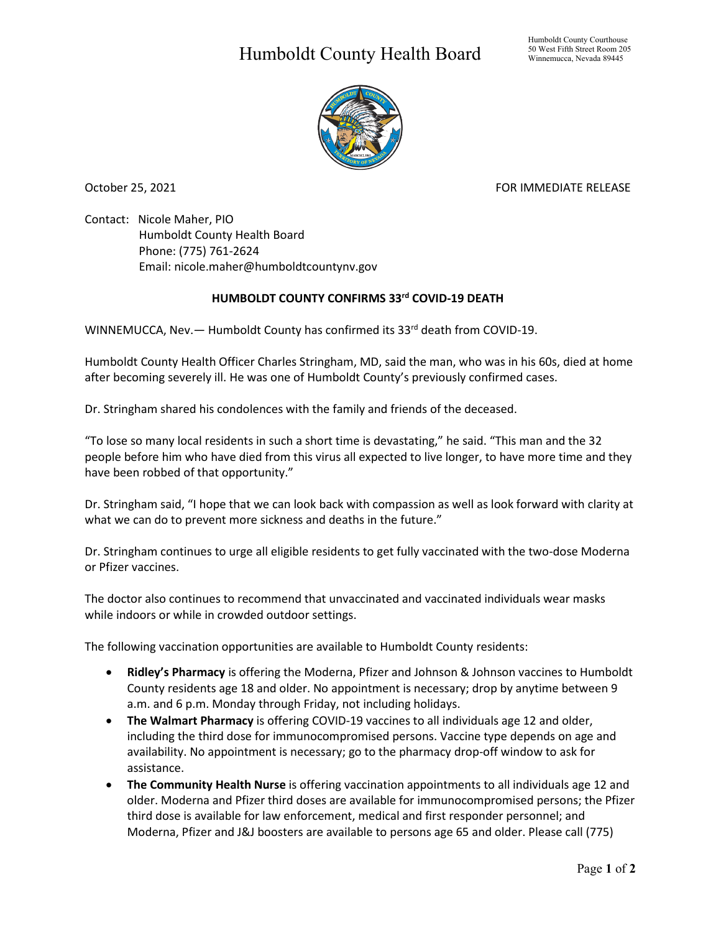## Humboldt County Health Board



October 25, 2021 **FOR IMMEDIATE RELEASE** 

Contact: Nicole Maher, PIO Humboldt County Health Board Phone: (775) 761-2624 Email: nicole.maher@humboldtcountynv.gov

## **HUMBOLDT COUNTY CONFIRMS 33rd COVID-19 DEATH**

WINNEMUCCA, Nev. - Humboldt County has confirmed its 33<sup>rd</sup> death from COVID-19.

Humboldt County Health Officer Charles Stringham, MD, said the man, who was in his 60s, died at home after becoming severely ill. He was one of Humboldt County's previously confirmed cases.

Dr. Stringham shared his condolences with the family and friends of the deceased.

"To lose so many local residents in such a short time is devastating," he said. "This man and the 32 people before him who have died from this virus all expected to live longer, to have more time and they have been robbed of that opportunity."

Dr. Stringham said, "I hope that we can look back with compassion as well as look forward with clarity at what we can do to prevent more sickness and deaths in the future."

Dr. Stringham continues to urge all eligible residents to get fully vaccinated with the two-dose Moderna or Pfizer vaccines.

The doctor also continues to recommend that unvaccinated and vaccinated individuals wear masks while indoors or while in crowded outdoor settings.

The following vaccination opportunities are available to Humboldt County residents:

- **Ridley's Pharmacy** is offering the Moderna, Pfizer and Johnson & Johnson vaccines to Humboldt County residents age 18 and older. No appointment is necessary; drop by anytime between 9 a.m. and 6 p.m. Monday through Friday, not including holidays.
- **The Walmart Pharmacy** is offering COVID-19 vaccines to all individuals age 12 and older, including the third dose for immunocompromised persons. Vaccine type depends on age and availability. No appointment is necessary; go to the pharmacy drop-off window to ask for assistance.
- **The Community Health Nurse** is offering vaccination appointments to all individuals age 12 and older. Moderna and Pfizer third doses are available for immunocompromised persons; the Pfizer third dose is available for law enforcement, medical and first responder personnel; and Moderna, Pfizer and J&J boosters are available to persons age 65 and older. Please call (775)